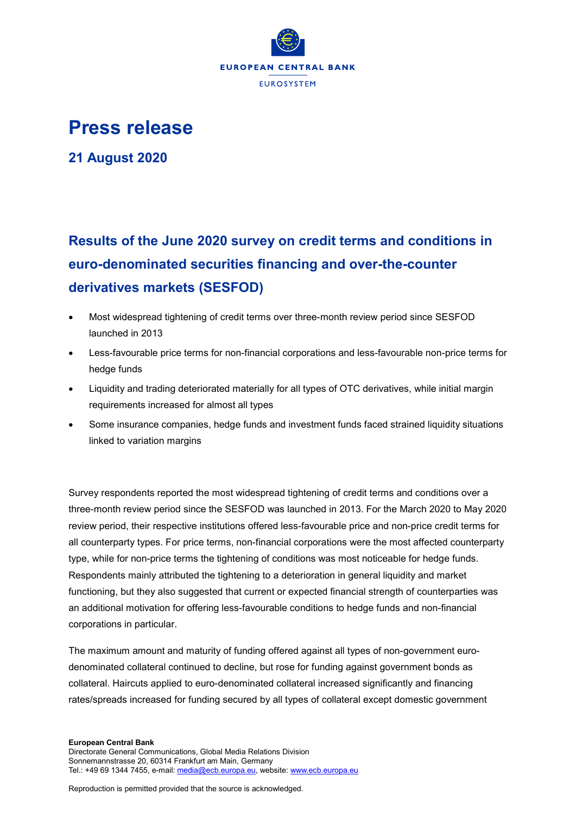

## **Press release**

**21 August 2020**

## **Results of the June 2020 survey on credit terms and conditions in euro-denominated securities financing and over-the-counter derivatives markets (SESFOD)**

- Most widespread tightening of credit terms over three-month review period since SESFOD launched in 2013
- Less-favourable price terms for non-financial corporations and less-favourable non-price terms for hedge funds
- Liquidity and trading deteriorated materially for all types of OTC derivatives, while initial margin requirements increased for almost all types
- Some insurance companies, hedge funds and investment funds faced strained liquidity situations linked to variation margins

Survey respondents reported the most widespread tightening of credit terms and conditions over a three-month review period since the SESFOD was launched in 2013. For the March 2020 to May 2020 review period, their respective institutions offered less-favourable price and non-price credit terms for all counterparty types. For price terms, non-financial corporations were the most affected counterparty type, while for non-price terms the tightening of conditions was most noticeable for hedge funds. Respondents mainly attributed the tightening to a deterioration in general liquidity and market functioning, but they also suggested that current or expected financial strength of counterparties was an additional motivation for offering less-favourable conditions to hedge funds and non-financial corporations in particular.

The maximum amount and maturity of funding offered against all types of non-government eurodenominated collateral continued to decline, but rose for funding against government bonds as collateral. Haircuts applied to euro-denominated collateral increased significantly and financing rates/spreads increased for funding secured by all types of collateral except domestic government

## **European Central Bank**

Directorate General Communications, Global Media Relations Division Sonnemannstrasse 20, 60314 Frankfurt am Main, Germany Tel.: +49 69 1344 7455, e-mail[: media@ecb.europa.eu,](mailto:media@ecb.europa.eu) website[: www.ecb.europa.eu](http://www.ecb.europa.eu/)

Reproduction is permitted provided that the source is acknowledged.